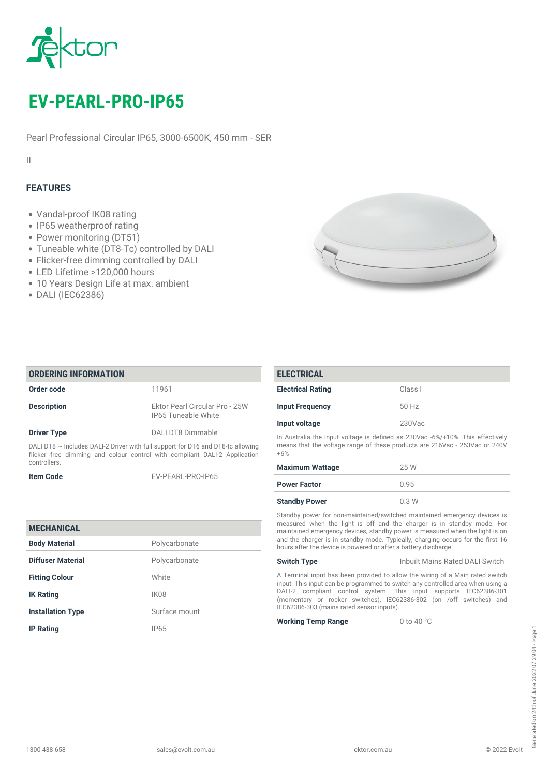

# *EV-PEARL-PRO-IP65*

*Pearl Professional Circular IP65, 3000-6500K, 450 mm - SER*

*II*

## *FEATURES*

- *Vandal-proof IK08 rating*
- *IP65 weatherproof rating*
- *Power monitoring (DT51)*
- *Tuneable white (DT8-Tc) controlled by DALI*
- *Flicker-free dimming controlled by DALI*
- *LED Lifetime >120,000 hours*
- *10 Years Design Life at max. ambient*
- *DALI (IEC62386)*



| <b>ORDERING INFORMATION</b>                                                                                                                                                       |                                                              |
|-----------------------------------------------------------------------------------------------------------------------------------------------------------------------------------|--------------------------------------------------------------|
| Order code                                                                                                                                                                        | 11961                                                        |
| <b>Description</b>                                                                                                                                                                | Ektor Pearl Circular Pro - 25W<br><b>IP65 Tuneable White</b> |
| <b>Driver Type</b>                                                                                                                                                                | DALI DT8 Dimmable                                            |
| DALI DT8 $\sim$ Includes DALI-2 Driver with full support for DT6 and DT8-tc allowing<br>flicker free dimming and colour control with compliant DALI-2 Application<br>controllers. |                                                              |

| <b>Item Code</b> | EV-PEARL-PRO-IP65 |
|------------------|-------------------|
|                  |                   |

| <b>MECHANICAL</b>        |                  |
|--------------------------|------------------|
| <b>Body Material</b>     | Polycarbonate    |
| Diffuser Material        | Polycarbonate    |
| <b>Fitting Colour</b>    | White            |
| <b>IK Rating</b>         | IK <sub>08</sub> |
| <b>Installation Type</b> | Surface mount    |
| <b>IP Rating</b>         | IP65             |

| <b>ELECTRICAL</b>                                                                                                                                                     |                        |  |
|-----------------------------------------------------------------------------------------------------------------------------------------------------------------------|------------------------|--|
| <b>Electrical Rating</b>                                                                                                                                              | Class I                |  |
| <b>Input Frequency</b>                                                                                                                                                | 50 Hz                  |  |
| Input voltage                                                                                                                                                         | $230$ Vac              |  |
| In Australia the Input voltage is defined as 230Vac -6%/+10%. This effectively<br>means that the voltage range of these products are 216Vac - 253Vac or 240V<br>$+6%$ |                        |  |
| <b>Maximum Wattage</b>                                                                                                                                                | 25 W                   |  |
| .                                                                                                                                                                     | $\cap$ $\cap$ $\Gamma$ |  |

| Powei Factol                                                                                                                                                                                  | U.93 |
|-----------------------------------------------------------------------------------------------------------------------------------------------------------------------------------------------|------|
| <b>Standby Power</b>                                                                                                                                                                          | 0.3W |
| Standby power for non-maintained/switched maintained emergency devices is<br>the contract of the contract of the state of the contract of the contract of the contract of the contract of the |      |

*measured when the light is off and the charger is in standby mode. For maintained emergency devices, standby power is measured when the light is on and the charger is in standby mode. Typically, charging occurs for the first 16 hours after the device is powered or after a battery discharge.*

## *Switch Type Inbuilt Mains Rated DALI Switch A Terminal input has been provided to allow the wiring of a Main rated switch*

*input. This input can be programmed to switch any controlled area when using a DALI-2 compliant control system. This input supports IEC62386-301 (momentary or rocker switches), IEC62386-302 (on /off switches) and IEC62386-303 (mains rated sensor inputs).*

*Working Temp Range 0 to 40 °C*